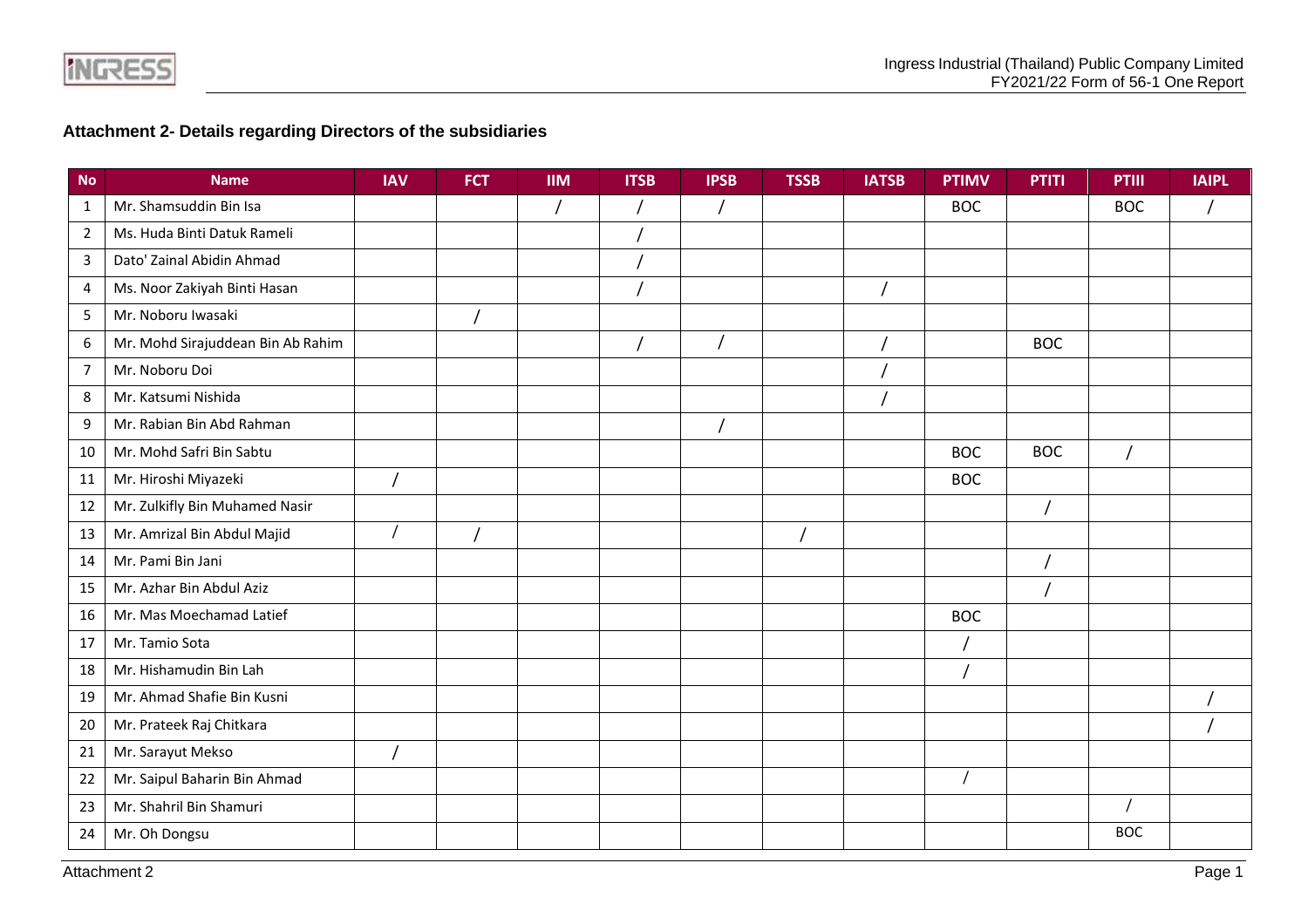**INGRESS** 

## **Attachment 2- Details regarding Directors of the subsidiaries**

| <b>No</b>      | <b>Name</b>                       | <b>IAV</b> | <b>FCT</b> | <b>IIM</b> | <b>ITSB</b> | <b>IPSB</b> | <b>TSSB</b> | <b>IATSB</b> | <b>PTIMV</b> | <b>PTITI</b> | <b>PTIII</b> | <b>IAIPL</b> |
|----------------|-----------------------------------|------------|------------|------------|-------------|-------------|-------------|--------------|--------------|--------------|--------------|--------------|
| $\mathbf{1}$   | Mr. Shamsuddin Bin Isa            |            |            |            |             |             |             |              | <b>BOC</b>   |              | <b>BOC</b>   |              |
| $\overline{2}$ | Ms. Huda Binti Datuk Rameli       |            |            |            |             |             |             |              |              |              |              |              |
| 3              | Dato' Zainal Abidin Ahmad         |            |            |            |             |             |             |              |              |              |              |              |
| 4              | Ms. Noor Zakiyah Binti Hasan      |            |            |            |             |             |             |              |              |              |              |              |
| 5              | Mr. Noboru Iwasaki                |            |            |            |             |             |             |              |              |              |              |              |
| 6              | Mr. Mohd Sirajuddean Bin Ab Rahim |            |            |            |             |             |             |              |              | <b>BOC</b>   |              |              |
| $\overline{7}$ | Mr. Noboru Doi                    |            |            |            |             |             |             |              |              |              |              |              |
| 8              | Mr. Katsumi Nishida               |            |            |            |             |             |             |              |              |              |              |              |
| 9              | Mr. Rabian Bin Abd Rahman         |            |            |            |             |             |             |              |              |              |              |              |
| 10             | Mr. Mohd Safri Bin Sabtu          |            |            |            |             |             |             |              | <b>BOC</b>   | <b>BOC</b>   |              |              |
| 11             | Mr. Hiroshi Miyazeki              |            |            |            |             |             |             |              | <b>BOC</b>   |              |              |              |
| 12             | Mr. Zulkifly Bin Muhamed Nasir    |            |            |            |             |             |             |              |              |              |              |              |
| 13             | Mr. Amrizal Bin Abdul Majid       |            |            |            |             |             |             |              |              |              |              |              |
| 14             | Mr. Pami Bin Jani                 |            |            |            |             |             |             |              |              |              |              |              |
| 15             | Mr. Azhar Bin Abdul Aziz          |            |            |            |             |             |             |              |              |              |              |              |
| 16             | Mr. Mas Moechamad Latief          |            |            |            |             |             |             |              | <b>BOC</b>   |              |              |              |
| 17             | Mr. Tamio Sota                    |            |            |            |             |             |             |              |              |              |              |              |
| 18             | Mr. Hishamudin Bin Lah            |            |            |            |             |             |             |              |              |              |              |              |
| 19             | Mr. Ahmad Shafie Bin Kusni        |            |            |            |             |             |             |              |              |              |              |              |
| 20             | Mr. Prateek Raj Chitkara          |            |            |            |             |             |             |              |              |              |              |              |
| 21             | Mr. Sarayut Mekso                 |            |            |            |             |             |             |              |              |              |              |              |
| 22             | Mr. Saipul Baharin Bin Ahmad      |            |            |            |             |             |             |              |              |              |              |              |
| 23             | Mr. Shahril Bin Shamuri           |            |            |            |             |             |             |              |              |              |              |              |
| 24             | Mr. Oh Dongsu                     |            |            |            |             |             |             |              |              |              | <b>BOC</b>   |              |